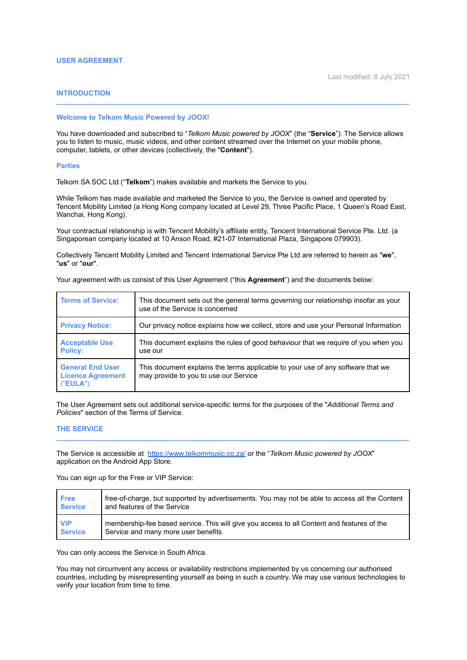# **INTRODUCTION**

## **Welcome to Telkom Music Powered by JOOX!**

You have downloaded and subscribed to "*Telkom Music powered by JOOX*" (the "**Service**"). The Service allows you to listen to music, music videos, and other content streamed over the Internet on your mobile phone, computer, tablets, or other devices (collectively, the "**Content**").

**\_\_\_\_\_\_\_\_\_\_\_\_\_\_\_\_\_\_\_\_\_\_\_\_\_\_\_\_\_\_\_\_\_\_\_\_\_\_\_\_\_\_\_\_\_\_\_\_\_\_\_\_\_\_\_\_\_\_\_\_\_\_\_\_\_\_\_\_\_\_\_\_\_\_\_\_\_\_\_\_\_\_\_\_\_\_\_\_\_\_**

#### **Parties**

Telkom SA SOC Ltd ("**Telkom**") makes available and markets the Service to you.

While Telkom has made available and marketed the Service to you, the Service is owned and operated by Tencent Mobility Limited (a Hong Kong company located at Level 29, Three Pacific Place, 1 Queen's Road East, Wanchai, Hong Kong).

Your contractual relationship is with Tencent Mobility's affiliate entity, Tencent International Service Pte. Ltd. (a Singaporean company located at 10 Anson Road, #21-07 International Plaza, Singapore 079903).

Collectively Tencent Mobility Limited and Tencent International Service Pte Ltd are referred to herein as "**we**", "**us**" or "**our**".

Your agreement with us consist of this User Agreement ("this **Agreement**") and the documents below:

| <b>Terms of Service:</b>                                            | This document sets out the general terms governing our relationship insofar as your<br>use of the Service is concerned   |  |
|---------------------------------------------------------------------|--------------------------------------------------------------------------------------------------------------------------|--|
| <b>Privacy Notice:</b>                                              | Our privacy notice explains how we collect, store and use your Personal Information                                      |  |
| <b>Acceptable Use</b><br><b>Policy:</b>                             | This document explains the rules of good behaviour that we require of you when you<br>use our                            |  |
| <b>General End User</b><br><b>Licence Agreement</b><br>$("EULA")$ : | This document explains the terms applicable to your use of any software that we<br>may provide to you to use our Service |  |

The User Agreement sets out additional service-specific terms for the purposes of the "*Additional Terms and Policies*" section of the Terms of Service.

**\_\_\_\_\_\_\_\_\_\_\_\_\_\_\_\_\_\_\_\_\_\_\_\_\_\_\_\_\_\_\_\_\_\_\_\_\_\_\_\_\_\_\_\_\_\_\_\_\_\_\_\_\_\_\_\_\_\_\_\_\_\_\_\_\_\_\_\_\_\_\_\_\_\_\_\_\_\_\_\_\_\_\_\_\_\_\_\_\_\_**

#### **THE SERVICE**

The Service is accessible at <https://www.telkommusic.co.za/> or the "*Telkom Music powered by JOOX*" application on the Android App Store.

You can sign up for the Free or VIP Service:

| <b>Free</b>    | free-of-charge, but supported by advertisements. You may not be able to access all the Content |
|----------------|------------------------------------------------------------------------------------------------|
| <b>Service</b> | and features of the Service                                                                    |
| <b>NP</b>      | membership-fee based service. This will give you access to all Content and features of the     |
| <b>Service</b> | Service and many more user benefits                                                            |

You can only access the Service in South Africa.

You may not circumvent any access or availability restrictions implemented by us concerning our authorised countries, including by misrepresenting yourself as being in such a country. We may use various technologies to verify your location from time to time.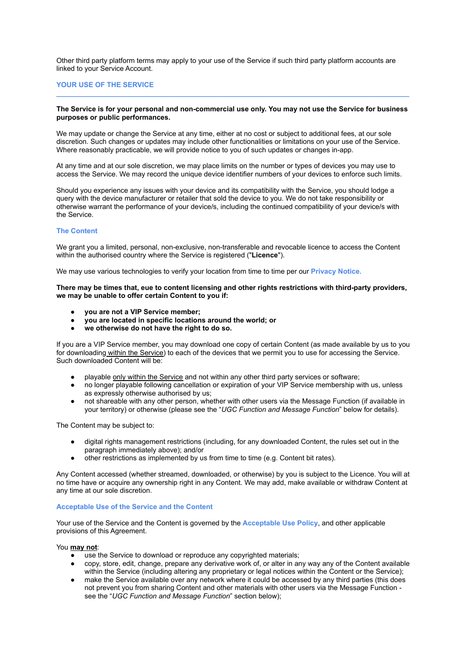Other third party platform terms may apply to your use of the Service if such third party platform accounts are linked to your Service Account.

# **YOUR USE OF THE SERVICE**

### **The Service is for your personal and non-commercial use only. You may not use the Service for business purposes or public performances.**

**\_\_\_\_\_\_\_\_\_\_\_\_\_\_\_\_\_\_\_\_\_\_\_\_\_\_\_\_\_\_\_\_\_\_\_\_\_\_\_\_\_\_\_\_\_\_\_\_\_\_\_\_\_\_\_\_\_\_\_\_\_\_\_\_\_\_\_\_\_\_\_\_\_\_\_\_\_\_\_\_\_\_\_\_\_\_\_\_\_\_**

We may update or change the Service at any time, either at no cost or subject to additional fees, at our sole discretion. Such changes or updates may include other functionalities or limitations on your use of the Service. Where reasonably practicable, we will provide notice to you of such updates or changes in-app.

At any time and at our sole discretion, we may place limits on the number or types of devices you may use to access the Service. We may record the unique device identifier numbers of your devices to enforce such limits.

Should you experience any issues with your device and its compatibility with the Service, you should lodge a query with the device manufacturer or retailer that sold the device to you. We do not take responsibility or otherwise warrant the performance of your device/s, including the continued compatibility of your device/s with the Service.

### **The Content**

We grant you a limited, personal, non-exclusive, non-transferable and revocable licence to access the Content within the authorised country where the Service is registered ("**Licence**").

We may use various technologies to verify your location from time to time per our **Privacy Notice.**

### **There may be times that, eue to content licensing and other rights restrictions with third-party providers, we may be unable to offer certain Content to you if:**

- **● you are not a VIP Service member;**
- **● you are located in specific locations around the world; or**
- **● we otherwise do not have the right to do so.**

If you are a VIP Service member, you may download one copy of certain Content (as made available by us to you for downloading within the Service) to each of the devices that we permit you to use for accessing the Service. Such downloaded Content will be:

- playable only within the Service and not within any other third party services or software;
- no longer playable following cancellation or expiration of your VIP Service membership with us, unless as expressly otherwise authorised by us;
- not shareable with any other person, whether with other users via the Message Function (if available in your territory) or otherwise (please see the "*UGC Function and Message Function*" below for details).

The Content may be subject to:

- digital rights management restrictions (including, for any downloaded Content, the rules set out in the paragraph immediately above); and/or
- other restrictions as implemented by us from time to time (e.g. Content bit rates).

Any Content accessed (whether streamed, downloaded, or otherwise) by you is subject to the Licence. You will at no time have or acquire any ownership right in any Content. We may add, make available or withdraw Content at any time at our sole discretion.

## **Acceptable Use of the Service and the Content**

Your use of the Service and the Content is governed by the **Acceptable Use Policy**, and other applicable provisions of this Agreement.

## You **may not**:

- $\overline{\bullet}$  use the Service to download or reproduce any copyrighted materials;
- copy, store, edit, change, prepare any derivative work of, or alter in any way any of the Content available within the Service (including altering any proprietary or legal notices within the Content or the Service);
- make the Service available over any network where it could be accessed by any third parties (this does not prevent you from sharing Content and other materials with other users via the Message Function see the "*UGC Function and Message Function*" section below);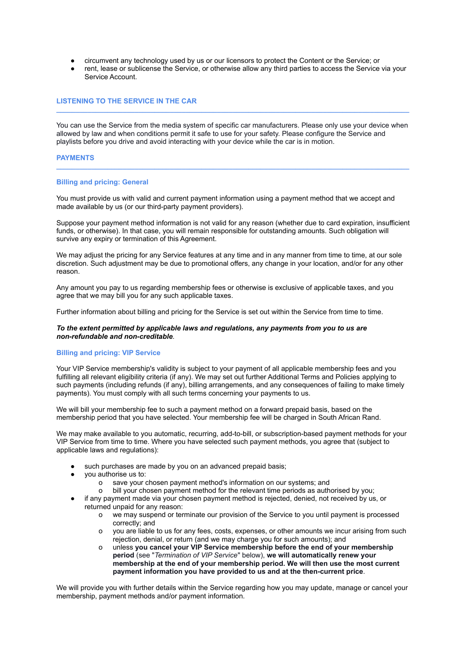- circumvent any technology used by us or our licensors to protect the Content or the Service; or
- rent, lease or sublicense the Service, or otherwise allow any third parties to access the Service via your Service Account.

## **LISTENING TO THE SERVICE IN THE CAR**

You can use the Service from the media system of specific car manufacturers. Please only use your device when allowed by law and when conditions permit it safe to use for your safety. Please configure the Service and playlists before you drive and avoid interacting with your device while the car is in motion.

**\_\_\_\_\_\_\_\_\_\_\_\_\_\_\_\_\_\_\_\_\_\_\_\_\_\_\_\_\_\_\_\_\_\_\_\_\_\_\_\_\_\_\_\_\_\_\_\_\_\_\_\_\_\_\_\_\_\_\_\_\_\_\_\_\_\_\_\_\_\_\_\_\_\_\_\_\_\_\_\_\_\_\_\_\_\_\_\_\_\_**

**\_\_\_\_\_\_\_\_\_\_\_\_\_\_\_\_\_\_\_\_\_\_\_\_\_\_\_\_\_\_\_\_\_\_\_\_\_\_\_\_\_\_\_\_\_\_\_\_\_\_\_\_\_\_\_\_\_\_\_\_\_\_\_\_\_\_\_\_\_\_\_\_\_\_\_\_\_\_\_\_\_\_\_\_\_\_\_\_\_\_**

### **PAYMENTS**

#### **Billing and pricing: General**

You must provide us with valid and current payment information using a payment method that we accept and made available by us (or our third-party payment providers).

Suppose your payment method information is not valid for any reason (whether due to card expiration, insufficient funds, or otherwise). In that case, you will remain responsible for outstanding amounts. Such obligation will survive any expiry or termination of this Agreement.

We may adjust the pricing for any Service features at any time and in any manner from time to time, at our sole discretion. Such adjustment may be due to promotional offers, any change in your location, and/or for any other reason.

Any amount you pay to us regarding membership fees or otherwise is exclusive of applicable taxes, and you agree that we may bill you for any such applicable taxes.

Further information about billing and pricing for the Service is set out within the Service from time to time.

### *To the extent permitted by applicable laws and regulations, any payments from you to us are non-refundable and non-creditable.*

### **Billing and pricing: VIP Service**

Your VIP Service membership's validity is subject to your payment of all applicable membership fees and you fulfilling all relevant eligibility criteria (if any). We may set out further Additional Terms and Policies applying to such payments (including refunds (if any), billing arrangements, and any consequences of failing to make timely payments). You must comply with all such terms concerning your payments to us.

We will bill your membership fee to such a payment method on a forward prepaid basis, based on the membership period that you have selected. Your membership fee will be charged in South African Rand.

We may make available to you automatic, recurring, add-to-bill, or subscription-based payment methods for your VIP Service from time to time. Where you have selected such payment methods, you agree that (subject to applicable laws and regulations):

- such purchases are made by you on an advanced prepaid basis;
- you authorise us to:
	- o save your chosen payment method's information on our systems; and
	- bill your chosen payment method for the relevant time periods as authorised by you;
- if any payment made via your chosen payment method is rejected, denied, not received by us, or returned unpaid for any reason:
	- o we may suspend or terminate our provision of the Service to you until payment is processed correctly; and
	- o you are liable to us for any fees, costs, expenses, or other amounts we incur arising from such rejection, denial, or return (and we may charge you for such amounts); and
	- o unless **you cancel your VIP Service membership before the end of your membership period** (see "*Termination of VIP Service*" below), **we will automatically renew your membership at the end of your membership period. We will then use the most current payment information you have provided to us and at the then-current price**.

We will provide you with further details within the Service regarding how you may update, manage or cancel your membership, payment methods and/or payment information.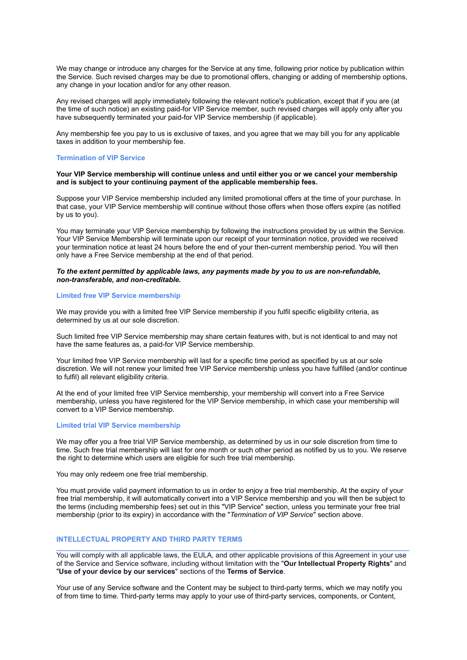We may change or introduce any charges for the Service at any time, following prior notice by publication within the Service. Such revised charges may be due to promotional offers, changing or adding of membership options, any change in your location and/or for any other reason.

Any revised charges will apply immediately following the relevant notice's publication, except that if you are (at the time of such notice) an existing paid-for VIP Service member, such revised charges will apply only after you have subsequently terminated your paid-for VIP Service membership (if applicable).

Any membership fee you pay to us is exclusive of taxes, and you agree that we may bill you for any applicable taxes in addition to your membership fee.

### **Termination of VIP Service**

#### **Your VIP Service membership will continue unless and until either you or we cancel your membership and is subject to your continuing payment of the applicable membership fees.**

Suppose your VIP Service membership included any limited promotional offers at the time of your purchase. In that case, your VIP Service membership will continue without those offers when those offers expire (as notified by us to you).

You may terminate your VIP Service membership by following the instructions provided by us within the Service. Your VIP Service Membership will terminate upon our receipt of your termination notice, provided we received your termination notice at least 24 hours before the end of your then-current membership period. You will then only have a Free Service membership at the end of that period.

## *To the extent permitted by applicable laws, any payments made by you to us are non-refundable, non-transferable, and non-creditable.*

## **Limited free VIP Service membership**

We may provide you with a limited free VIP Service membership if you fulfil specific eligibility criteria, as determined by us at our sole discretion.

Such limited free VIP Service membership may share certain features with, but is not identical to and may not have the same features as, a paid-for VIP Service membership.

Your limited free VIP Service membership will last for a specific time period as specified by us at our sole discretion. We will not renew your limited free VIP Service membership unless you have fulfilled (and/or continue to fulfil) all relevant eligibility criteria.

At the end of your limited free VIP Service membership, your membership will convert into a Free Service membership, unless you have registered for the VIP Service membership, in which case your membership will convert to a VIP Service membership.

## **Limited trial VIP Service membership**

We may offer you a free trial VIP Service membership, as determined by us in our sole discretion from time to time. Such free trial membership will last for one month or such other period as notified by us to you. We reserve the right to determine which users are eligible for such free trial membership.

You may only redeem one free trial membership.

You must provide valid payment information to us in order to enjoy a free trial membership. At the expiry of your free trial membership, it will automatically convert into a VIP Service membership and you will then be subject to the terms (including membership fees) set out in this "VIP Service" section, unless you terminate your free trial membership (prior to its expiry) in accordance with the "*Termination of VIP Service*" section above.

## **INTELLECTUAL PROPERTY AND THIRD PARTY TERMS**

You will comply with all applicable laws, the EULA, and other applicable provisions of this Agreement in your use of the Service and Service software, including without limitation with the "**Our Intellectual Property Rights**" and "**Use of your device by our services**" sections of the **Terms of Service**.

**\_\_\_\_\_\_\_\_\_\_\_\_\_\_\_\_\_\_\_\_\_\_\_\_\_\_\_\_\_\_\_\_\_\_\_\_\_\_\_\_\_\_\_\_\_\_\_\_\_\_\_\_\_\_\_\_\_\_\_\_\_\_\_\_\_\_\_\_\_\_\_\_\_\_\_\_\_\_\_\_\_\_\_\_\_\_\_\_\_\_**

Your use of any Service software and the Content may be subject to third-party terms, which we may notify you of from time to time. Third-party terms may apply to your use of third-party services, components, or Content,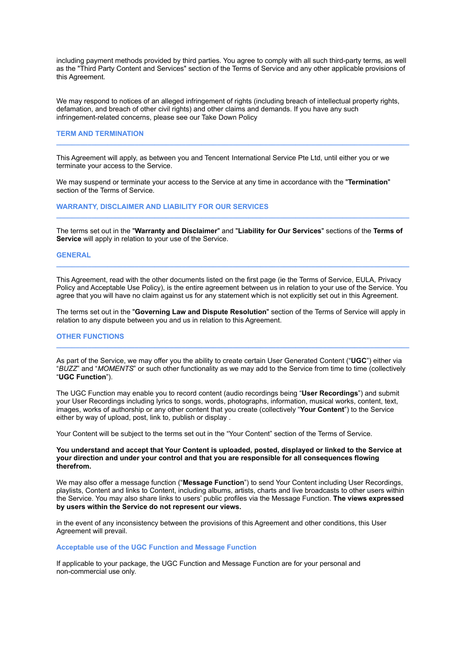including payment methods provided by third parties. You agree to comply with all such third-party terms, as well as the "Third Party Content and Services" section of the Terms of Service and any other applicable provisions of this Agreement.

We may respond to notices of an alleged infringement of rights (including breach of intellectual property rights, defamation, and breach of other civil rights) and other claims and demands. If you have any such infringement-related concerns, please see our Take Down Policy

**\_\_\_\_\_\_\_\_\_\_\_\_\_\_\_\_\_\_\_\_\_\_\_\_\_\_\_\_\_\_\_\_\_\_\_\_\_\_\_\_\_\_\_\_\_\_\_\_\_\_\_\_\_\_\_\_\_\_\_\_\_\_\_\_\_\_\_\_\_\_\_\_\_\_\_\_\_\_\_\_\_\_\_\_\_\_\_\_\_\_**

### **TERM AND TERMINATION**

This Agreement will apply, as between you and Tencent International Service Pte Ltd, until either you or we terminate your access to the Service.

We may suspend or terminate your access to the Service at any time in accordance with the "**Termination**" section of the Terms of Service.

**WARRANTY, DISCLAIMER AND LIABILITY FOR OUR SERVICES**

The terms set out in the "**Warranty and Disclaimer**" and "**Liability for Our Services**" sections of the **Terms of Service** will apply in relation to your use of the Service.

**\_\_\_\_\_\_\_\_\_\_\_\_\_\_\_\_\_\_\_\_\_\_\_\_\_\_\_\_\_\_\_\_\_\_\_\_\_\_\_\_\_\_\_\_\_\_\_\_\_\_\_\_\_\_\_\_\_\_\_\_\_\_\_\_\_\_\_\_\_\_\_\_\_\_\_\_\_\_\_\_\_\_\_\_\_\_\_\_\_\_**

#### **GENERAL**

This Agreement, read with the other documents listed on the first page (ie the Terms of Service, EULA, Privacy Policy and Acceptable Use Policy), is the entire agreement between us in relation to your use of the Service. You agree that you will have no claim against us for any statement which is not explicitly set out in this Agreement.

**\_\_\_\_\_\_\_\_\_\_\_\_\_\_\_\_\_\_\_\_\_\_\_\_\_\_\_\_\_\_\_\_\_\_\_\_\_\_\_\_\_\_\_\_\_\_\_\_\_\_\_\_\_\_\_\_\_\_\_\_\_\_\_\_\_\_\_\_\_\_\_\_\_\_\_\_\_\_\_\_\_\_\_\_\_\_\_\_\_\_**

The terms set out in the "**Governing Law and Dispute Resolution**" section of the Terms of Service will apply in relation to any dispute between you and us in relation to this Agreement.

### **OTHER FUNCTIONS**

As part of the Service, we may offer you the ability to create certain User Generated Content ("**UGC**") either via "*BUZZ*" and "*MOMENTS*" or such other functionality as we may add to the Service from time to time (collectively "**UGC Function**").

**\_\_\_\_\_\_\_\_\_\_\_\_\_\_\_\_\_\_\_\_\_\_\_\_\_\_\_\_\_\_\_\_\_\_\_\_\_\_\_\_\_\_\_\_\_\_\_\_\_\_\_\_\_\_\_\_\_\_\_\_\_\_\_\_\_\_\_\_\_\_\_\_\_\_\_\_\_\_\_\_\_\_\_\_\_\_\_\_\_\_**

The UGC Function may enable you to record content (audio recordings being "**User Recordings**") and submit your User Recordings including lyrics to songs, words, photographs, information, musical works, content, text, images, works of authorship or any other content that you create (collectively "**Your Content**") to the Service either by way of upload, post, link to, publish or display .

Your Content will be subject to the terms set out in the "Your Content" section of the Terms of Service.

**You understand and accept that Your Content is uploaded, posted, displayed or linked to the Service at your direction and under your control and that you are responsible for all consequences flowing therefrom.**

We may also offer a message function ("**Message Function**") to send Your Content including User Recordings, playlists, Content and links to Content, including albums, artists, charts and live broadcasts to other users within the Service. You may also share links to users' public profiles via the Message Function. **The views expressed by users within the Service do not represent our views.**

in the event of any inconsistency between the provisions of this Agreement and other conditions, this User Agreement will prevail.

### **Acceptable use of the UGC Function and Message Function**

If applicable to your package, the UGC Function and Message Function are for your personal and non-commercial use only.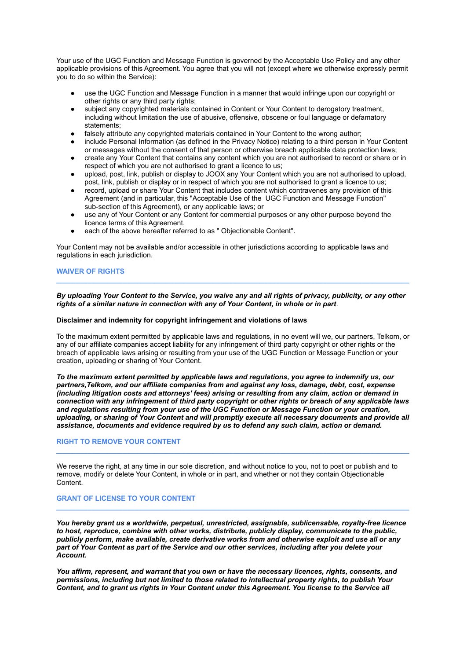Your use of the UGC Function and Message Function is governed by the Acceptable Use Policy and any other applicable provisions of this Agreement. You agree that you will not (except where we otherwise expressly permit you to do so within the Service):

- use the UGC Function and Message Function in a manner that would infringe upon our copyright or other rights or any third party rights:
- subject any copyrighted materials contained in Content or Your Content to derogatory treatment, including without limitation the use of abusive, offensive, obscene or foul language or defamatory statements;
- falsely attribute any copyrighted materials contained in Your Content to the wrong author;
- include Personal Information (as defined in the Privacy Notice) relating to a third person in Your Content or messages without the consent of that person or otherwise breach applicable data protection laws;
- create any Your Content that contains any content which you are not authorised to record or share or in respect of which you are not authorised to grant a licence to us;
- upload, post, link, publish or display to JOOX any Your Content which you are not authorised to upload, post, link, publish or display or in respect of which you are not authorised to grant a licence to us;
- record, upload or share Your Content that includes content which contravenes any provision of this Agreement (and in particular, this "Acceptable Use of the UGC Function and Message Function" sub-section of this Agreement), or any applicable laws; or
- use any of Your Content or any Content for commercial purposes or any other purpose beyond the licence terms of this Agreement,
- each of the above hereafter referred to as " Objectionable Content".

Your Content may not be available and/or accessible in other jurisdictions according to applicable laws and regulations in each jurisdiction.

# **WAIVER OF RIGHTS**

## *By uploading Your Content to the Service, you waive any and all rights of privacy, publicity, or any other rights of a similar nature in connection with any of Your Content, in whole or in part*.

**\_\_\_\_\_\_\_\_\_\_\_\_\_\_\_\_\_\_\_\_\_\_\_\_\_\_\_\_\_\_\_\_\_\_\_\_\_\_\_\_\_\_\_\_\_\_\_\_\_\_\_\_\_\_\_\_\_\_\_\_\_\_\_\_\_\_\_\_\_\_\_\_\_\_\_\_\_\_\_\_\_\_\_\_\_\_\_\_\_\_**

#### **Disclaimer and indemnity for copyright infringement and violations of laws**

To the maximum extent permitted by applicable laws and regulations, in no event will we, our partners, Telkom, or any of our affiliate companies accept liability for any infringement of third party copyright or other rights or the breach of applicable laws arising or resulting from your use of the UGC Function or Message Function or your creation, uploading or sharing of Your Content.

*To the maximum extent permitted by applicable laws and regulations, you agree to indemnify us, our partners,Telkom, and our affiliate companies from and against any loss, damage, debt, cost, expense (including litigation costs and attorneys' fees) arising or resulting from any claim, action or demand in connection with any infringement of third party copyright or other rights or breach of any applicable laws and regulations resulting from your use of the UGC Function or Message Function or your creation, uploading, or sharing of Your Content and will promptly execute all necessary documents and provide all assistance, documents and evidence required by us to defend any such claim, action or demand.*

**\_\_\_\_\_\_\_\_\_\_\_\_\_\_\_\_\_\_\_\_\_\_\_\_\_\_\_\_\_\_\_\_\_\_\_\_\_\_\_\_\_\_\_\_\_\_\_\_\_\_\_\_\_\_\_\_\_\_\_\_\_\_\_\_\_\_\_\_\_\_\_\_\_\_\_\_\_\_\_\_\_\_\_\_\_\_\_\_\_\_**

#### **RIGHT TO REMOVE YOUR CONTENT**

We reserve the right, at any time in our sole discretion, and without notice to you, not to post or publish and to remove, modify or delete Your Content, in whole or in part, and whether or not they contain Objectionable Content.

#### **GRANT OF LICENSE TO YOUR CONTENT**

*You hereby grant us a worldwide, perpetual, unrestricted, assignable, sublicensable, royalty-free licence to host, reproduce, combine with other works, distribute, publicly display, communicate to the public, publicly perform, make available, create derivative works from and otherwise exploit and use all or any part of Your Content as part of the Service and our other services, including after you delete your Account.*

**\_\_\_\_\_\_\_\_\_\_\_\_\_\_\_\_\_\_\_\_\_\_\_\_\_\_\_\_\_\_\_\_\_\_\_\_\_\_\_\_\_\_\_\_\_\_\_\_\_\_\_\_\_\_\_\_\_\_\_\_\_\_\_\_\_\_\_\_\_\_\_\_\_\_\_\_\_\_\_\_\_\_\_\_\_\_\_\_\_\_**

*You affirm, represent, and warrant that you own or have the necessary licences, rights, consents, and permissions, including but not limited to those related to intellectual property rights, to publish Your Content, and to grant us rights in Your Content under this Agreement. You license to the Service all*